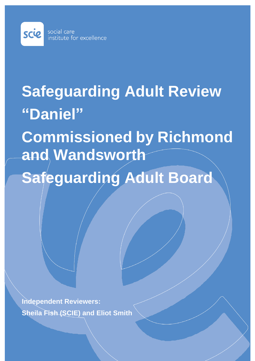

# **Safeguarding Adult Review "Daniel"**

**Commissioned by Richmond and Wandsworth Safeguarding Adult Board**

**Independent Reviewers: Sheila Fish (SCIE) and Eliot Smith**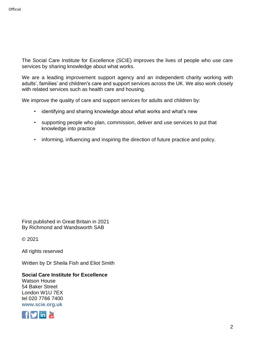The Social Care Institute for Excellence (SCIE) improves the lives of people who use care services by sharing knowledge about what works.

We are a leading improvement support agency and an independent charity working with adults', families' and children's care and support services across the UK. We also work closely with related services such as health care and housing.

We improve the quality of care and support services for adults and children by:

- identifying and sharing knowledge about what works and what's new
- supporting people who plan, commission, deliver and use services to put that knowledge into practice
- informing, influencing and inspiring the direction of future practice and policy.

First published in Great Britain in 2021 By Richmond and Wandsworth SAB

© 2021

All rights reserved

Written by Dr Sheila Fish and Eliot Smith

#### **Social Care Institute for Excellence**

Watson House 54 Baker Street London W1U 7EX tel 020 7766 7400 **[www.scie.org.uk](http://www.scie.org.uk/)**

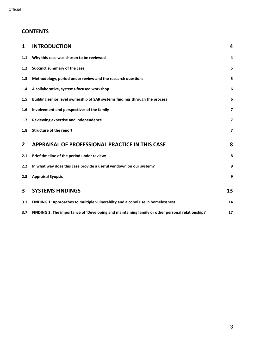# **CONTENTS**

| 1              | <b>INTRODUCTION</b>                                                                              | 4                       |
|----------------|--------------------------------------------------------------------------------------------------|-------------------------|
| 1.1            | Why this case was chosen to be reviewed                                                          | 4                       |
| 1.2            | Succinct summary of the case                                                                     | 5                       |
| 1.3            | Methodology, period under review and the research questions                                      | 5                       |
| 1.4            | A collaborative, systems-focused workshop                                                        | 6                       |
| 1.5            | Building senior level ownership of SAR systems findings through the process                      | 6                       |
| 1.6            | Involvement and perspectives of the family                                                       | $\overline{\mathbf{z}}$ |
| 1.7            | Reviewing expertise and independence                                                             | $\overline{\mathbf{z}}$ |
| 1.8            | <b>Structure of the report</b>                                                                   | $\overline{\mathbf{z}}$ |
| $\overline{2}$ | <b>APPRAISAL OF PROFESSIONAL PRACTICE IN THIS CASE</b>                                           | 8                       |
| 2.1            | Brief timeline of the period under review:                                                       | 8                       |
| 2.2            | In what way does this case provide a useful windown on our system?                               | 9                       |
| 2.3            | <b>Appraisal Syopsis</b>                                                                         | 9                       |
| 3              | <b>SYSTEMS FINDINGS</b>                                                                          | 13                      |
| 3.1            | FINDING 1: Approaches to multiple vulnerabilty and alcohol use in homelessness                   | 14                      |
| 3.7            | FINDING 2: The importance of 'Developing and maintaining family or other personal relationships' | 17                      |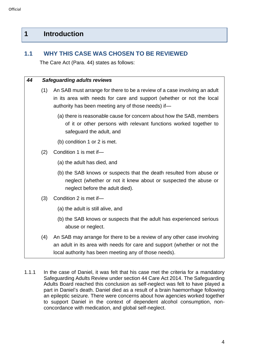# <span id="page-3-0"></span>**1 Introduction**

# <span id="page-3-1"></span>**1.1 WHY THIS CASE WAS CHOSEN TO BE REVIEWED**

The Care Act (Para. 44) states as follows:

#### *44 Safeguarding adults reviews*

- (1) An SAB must arrange for there to be a review of a case involving an adult in its area with needs for care and support (whether or not the local authority has been meeting any of those needs) if—
	- (a) there is reasonable cause for concern about how the SAB, members of it or other persons with relevant functions worked together to safeguard the adult, and
	- (b) condition 1 or 2 is met.
- (2) Condition 1 is met if—
	- (a) the adult has died, and
	- (b) the SAB knows or suspects that the death resulted from abuse or neglect (whether or not it knew about or suspected the abuse or neglect before the adult died).
- (3) Condition 2 is met if—
	- (a) the adult is still alive, and
	- (b) the SAB knows or suspects that the adult has experienced serious abuse or neglect.
- (4) An SAB may arrange for there to be a review of any other case involving an adult in its area with needs for care and support (whether or not the local authority has been meeting any of those needs).
- 1.1.1 In the case of Daniel, it was felt that his case met the criteria for a mandatory Safeguarding Adults Review under section 44 Care Act 2014. The Safeguarding Adults Board reached this conclusion as self-neglect was felt to have played a part in Daniel's death. Daniel died as a result of a brain haemorrhage following an epileptic seizure. There were concerns about how agencies worked together to support Daniel in the context of dependent alcohol consumption, nonconcordance with medication, and global self-neglect.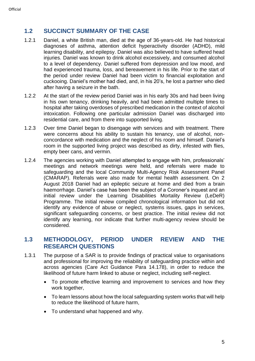# <span id="page-4-0"></span>**1.2 SUCCINCT SUMMARY OF THE CASE**

- 1.2.1 Daniel, a white British man, died at the age of 36-years-old. He had historical diagnoses of asthma, attention deficit hyperactivity disorder (ADHD), mild learning disability, and epilepsy. Daniel was also believed to have suffered head injuries. Daniel was known to drink alcohol excessively, and consumed alcohol to a level of dependency. Daniel suffered from depression and low mood, and had experienced trauma, loss, and bereavement in his life. Prior to the start of the period under review Daniel had been victim to financial exploitation and cuckooing. Daniel's mother had died, and, in his 20's, he lost a partner who died after having a seizure in the bath.
- 1.2.2 At the start of the review period Daniel was in his early 30s and had been living in his own tenancy, drinking heavily, and had been admitted multiple times to hospital after taking overdoses of prescribed medication in the context of alcohol intoxication. Following one particular admission Daniel was discharged into residential care, and from there into supported living.
- 1.2.3 Over time Daniel began to disengage with services and with treatment. There were concerns about his ability to sustain his tenancy, use of alcohol, nonconcordance with medication and the neglect of his room and himself. Daniel's room in the supported living project was described as dirty, infested with flies, empty beer cans, and vermin.
- 1.2.4 The agencies working with Daniel attempted to engage with him, professionals' meetings and network meetings were held, and referrals were made to safeguarding and the local Community Multi-Agency Risk Assessment Panel (CMARAP). Referrals were also made for mental health assessment. On 2 August 2018 Daniel had an epileptic seizure at home and died from a brain haemorrhage. Daniel's case has been the subject of a Coroner's inquest and an initial review under the Learning Disabilities Mortality Review (LeDeR) Programme. The initial review compiled chronological information but did not identify any evidence of abuse or neglect, systems issues, gaps in services, significant safeguarding concerns, or best practice. The initial review did not identify any learning, nor indicate that further multi-agency review should be considered.

# <span id="page-4-1"></span>**1.3 METHODOLOGY, PERIOD UNDER REVIEW AND THE RESEARCH QUESTIONS**

- 1.3.1 The purpose of a SAR is to provide findings of practical value to organisations and professional for improving the reliability of safeguarding practice within and across agencies (Care Act Guidance Para 14.178), in order to reduce the likelihood of future harm linked to abuse or neglect, including self-neglect.
	- To promote effective learning and improvement to services and how they work together,
	- To learn lessons about how the local safeguarding system works that will help to reduce the likelihood of future harm,
	- To understand what happened and why.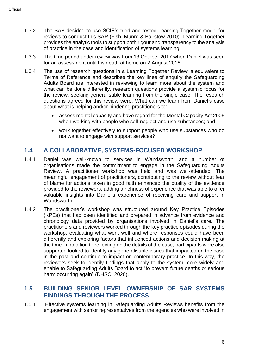- 1.3.2 The SAB decided to use SCIE's tried and tested Learning Together model for reviews to conduct this SAR (Fish, Munro & Bairstow 2010). Learning Together provides the analytic tools to support both rigour and transparency to the analysis of practice in the case and identification of systems learning.
- 1.3.3 The time period under review was from 13 October 2017 when Daniel was seen for an assessment until his death at home on 2 August 2018.
- 1.3.4 The use of research questions in a Learning Together Review is equivalent to Terms of Reference and describes the key lines of enquiry the Safeguarding Adults Board are interested in reviewing to learn more about the system and what can be done differently, research questions provide a systemic focus for the review, seeking generalisable learning from the single case. The research questions agreed for this review were: What can we learn from Daniel's case about what is helping and/or hindering practitioners to:
	- assess mental capacity and have regard for the Mental Capacity Act 2005 when working with people who self-neglect and use substances; and
	- work together effectively to support people who use substances who do not want to engage with support services?

#### <span id="page-5-0"></span>**1.4 A COLLABORATIVE, SYSTEMS-FOCUSED WORKSHOP**

- 1.4.1 Daniel was well-known to services in Wandsworth, and a number of organisations made the commitment to engage in the Safeguarding Adults Review. A practitioner workshop was held and was well-attended. The meaningful engagement of practitioners, contributing to the review without fear of blame for actions taken in good faith enhanced the quality of the evidence provided to the reviewers, adding a richness of experience that was able to offer valuable insights into Daniel's experience of receiving care and support in **Wandsworth**
- 1.4.2 The practitioner's workshop was structured around Key Practice Episodes (KPEs) that had been identified and prepared in advance from evidence and chronology data provided by organisations involved in Daniel's care. The practitioners and reviewers worked through the key practice episodes during the workshop, evaluating what went well and where responses could have been differently and exploring factors that influenced actions and decision making at the time. In addition to reflecting on the details of the case, participants were also supported looked to identify any generalisable issues that impacted on the case in the past and continue to impact on contemporary practice. In this way, the reviewers seek to identify findings that apply to the system more widely and enable to Safeguarding Adults Board to act "to prevent future deaths or serious harm occurring again" (DHSC, 2020).

#### <span id="page-5-1"></span>**1.5 BUILDING SENIOR LEVEL OWNERSHIP OF SAR SYSTEMS FINDINGS THROUGH THE PROCESS**

1.5.1 Effective systems learning in Safeguarding Adults Reviews benefits from the engagement with senior representatives from the agencies who were involved in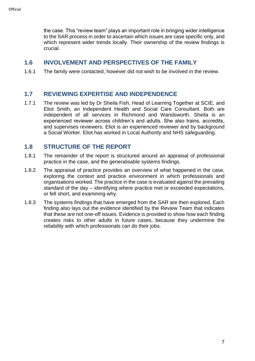the case. This "review team" plays an important role in bringing wider intelligence to the SAR process in order to ascertain which issues are case specific only, and which represent wider trends locally. Their ownership of the review findings is crucial.

#### <span id="page-6-0"></span>**1.6 INVOLVEMENT AND PERSPECTIVES OF THE FAMILY**

1.6.1 The family were contacted, however did not wish to be involved in the review.

#### <span id="page-6-1"></span>**1.7 REVIEWING EXPERTISE AND INDEPENDENCE**

1.7.1 The review was led by Dr Sheila Fish, Head of Learning Together at SCIE, and Eliot Smith, an Independent Health and Social Care Consultant. Both are independent of all services in Richmond and Wandsworth. Sheila is an experienced reviewer across children's and adults. She also trains, accredits, and supervises reviewers. Eliot is an experienced reviewer and by background a Social Worker. Eliot has worked in Local Authority and NHS safeguarding.

#### <span id="page-6-2"></span>**1.8 STRUCTURE OF THE REPORT**

- 1.8.1 The remainder of the report is structured around an appraisal of professional practice in the case, and the generalisable systems findings.
- 1.8.2 The appraisal of practice provides an overview of what happened in the case, exploring the context and practice environment in which professionals and organisations worked. The practice in the case is evaluated against the prevailing standard of the day – identifying where practice met or exceeded expectations, or fell short, and examining why.
- 1.8.3 The systems findings that have emerged from the SAR are then explored. Each finding also lays out the evidence identified by the Review Team that indicates that these are not one-off issues. Evidence is provided to show how each finding creates risks to other adults in future cases, because they undermine the reliability with which professionals can do their jobs.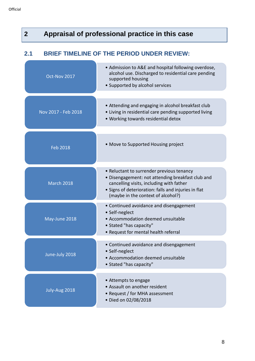<span id="page-7-1"></span><span id="page-7-0"></span>

| $\overline{2}$ |                     | Appraisal of professional practice in this case                                                                                                                                                                                          |
|----------------|---------------------|------------------------------------------------------------------------------------------------------------------------------------------------------------------------------------------------------------------------------------------|
| 2.1            |                     | <b>BRIEF TIMELINE OF THE PERIOD UNDER REVIEW:</b>                                                                                                                                                                                        |
|                | Oct-Nov 2017        | • Admission to A&E and hospital following overdose,<br>alcohol use. Discharged to residential care pending<br>supported housing<br>• Supported by alcohol services                                                                       |
|                | Nov 2017 - Feb 2018 | • Attending and engaging in alcohol breakfast club<br>• Living in residential care pending supported living<br>• Working towards residential detox                                                                                       |
|                | <b>Feb 2018</b>     | • Move to Supported Housing project                                                                                                                                                                                                      |
|                | <b>March 2018</b>   | • Reluctant to surrender previous tenancy<br>• Disengagement: not attending breakfast club and<br>cancelling visits, including with father<br>· Signs of deterioration: falls and injuries in flat<br>(maybe in the context of alcohol?) |
|                | May-June 2018       | • Continued avoidance and disengagement<br>• Self-neglect<br>• Accommodation deemed unsuitable<br>• Stated "has capacity"<br>• Request for mental health referral                                                                        |
|                | June-July 2018      | • Continued avoidance and disengagement<br>• Self-neglect<br>• Accommodation deemed unsuitable<br>• Stated "has capacity"                                                                                                                |
|                | July-Aug 2018       | • Attempts to engage<br>• Assault on another resident<br>• Request / for MHA assessment<br>· Died on 02/08/2018                                                                                                                          |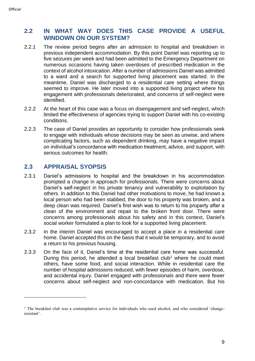# <span id="page-8-0"></span>**2.2 IN WHAT WAY DOES THIS CASE PROVIDE A USEFUL WINDOWN ON OUR SYSTEM?**

- 2.2.1 The review period begins after an admission to hospital and breakdown in previous independent accommodation. By this point Daniel was reporting up to five seizures per week and had been admitted to the Emergency Department on numerous occasions having taken overdoses of prescribed medication in the context of alcohol intoxication. After a number of admissions Daniel was admitted to a ward and a search for supported living placement was started. In the meantime, Daniel was discharged to a residential care setting where things seemed to improve. He later moved into a supported living project where his engagement with professionals deteriorated, and concerns of self-neglect were identified.
- 2.2.2 At the heart of this case was a focus on disengagement and self-neglect, which limited the effectiveness of agencies trying to support Daniel with his co-existing conditions.
- 2.2.3 The case of Daniel provides an opportunity to consider how professionals seek to engage with individuals whose decisions may be seen as unwise, and where complicating factors, such as dependent drinking, may have a negative impact on individual's concordance with medication treatment, advice, and support, with serious outcomes for health.

# <span id="page-8-1"></span>**2.3 APPRAISAL SYOPSIS**

- 2.3.1 Daniel's admissions to hospital and the breakdown in his accommodation prompted a change in approach for professionals. There were concerns about Daniel's self-neglect in his private tenancy and vulnerability to exploitation by others. In addition to this Daniel had other motivations to move, he had known a local person who had been stabbed, the door to his property was broken, and a deep clean was required. Daniel's first wish was to return to his property after a clean of the environment and repair to the broken front door. There were concerns among professionals about his safety and in this context, Daniel's social worker formulated a plan to look for a supported living placement.
- 2.3.2 In the interim Daniel was encouraged to accept a place in a residential care home. Daniel accepted this on the basis that it would be temporary, and to avoid a return to his previous housing.
- 2.3.3 On the face of it, Daniel's time at the residential care home was successful. During this period, he attended a local breakfast club<sup>1</sup> where he could meet others, have some food, and social interaction. While in residential care the number of hospital admissions reduced, with fewer episodes of harm, overdose, and accidental injury. Daniel engaged with professionals and there were fewer concerns about self-neglect and non-concordance with medication. But his

<sup>&</sup>lt;sup>1</sup> The breakfast club was a contemplative service for individuals who used alcohol, and who considered 'changeresistant'.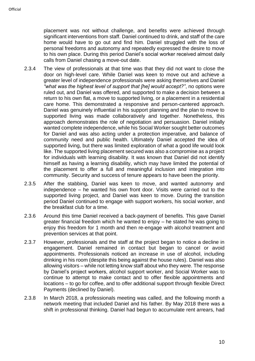placement was not without challenge, and benefits were achieved through significant interventions from staff. Daniel continued to drink, and staff of the care home would have to go out and find him. Daniel struggled with the loss of personal freedoms and autonomy and repeatedly expressed the desire to move to his own place. During this period Daniel's social worker received almost daily calls from Daniel chasing a move-out date.

- 2.3.4 The view of professionals at that time was that they did not want to close the door on high-level care. While Daniel was keen to move out and achieve a greater level of independence professionals were asking themselves and Daniel *"what was the highest level of support that [he] would accept?"*, no options were ruled out, and Daniel was offered, and supported to make a decision between a return to his own flat, a move to supported living, or a placement in a residential care home. This demonstrated a responsive and person-cantered approach. Daniel was genuinely influential in his support planning and the plan to move to supported living was made collaboratively and together. Nonetheless, this approach demonstrates the role of negotiation and persuasion. Daniel initially wanted complete independence, while his Social Worker sought better outcomes for Daniel and was also acting under a protection imperative, and balance of community need and public health. Ultimately Daniel accepted the idea of supported living, but there was limited exploration of what a good life would look like. The supported living placement secured was also a compromise as a project for individuals with learning disability. It was known that Daniel did not identify himself as having a learning disability, which may have limited the potential of the placement to offer a full and meaningful inclusion and integration into community. Security and success of tenure appears to have been the priority.
- 2.3.5 After the stabbing, Daniel was keen to move, and wanted autonomy and independence – he wanted his own front door. Visits were carried out to the supported living project, and Daniel was keen to move. During the transition period Daniel continued to engage with support workers, his social worker, and the breakfast club for a time.
- 2.3.6 Around this time Daniel received a back-payment of benefits. This gave Daniel greater financial freedom which he wanted to enjoy – he stated he was going to enjoy this freedom for 1 month and then re-engage with alcohol treatment and prevention services at that point.
- 2.3.7 However, professionals and the staff at the project began to notice a decline in engagement. Daniel remained in contact but began to cancel or avoid appointments. Professionals noticed an increase in use of alcohol, including drinking in his room (despite this being against the house rules). Daniel was also allowing visitors – while not letting know staff about who they were. The response by Daniel's project workers, alcohol support worker, and Social Worker was to continue to attempt to make contact and to offer flexible appointments and locations – to go for coffee, and to offer additional support through flexible Direct Payments (declined by Daniel).
- 2.3.8 In March 2018, a professionals meeting was called, and the following month a network meeting that included Daniel and his father. By May 2018 there was a shift in professional thinking. Daniel had begun to accumulate rent arrears, had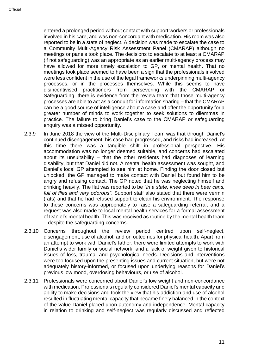entered a prolonged period without contact with support workers or professionals involved in his care, and was non-concordant with medication. His room was also reported to be in a state of neglect. A decision was made to escalate the case to a Community Multi-Agency Risk Assessment Panel (CMARAP) although no meetings or panels took place. The decisions to escalate to at least a CMARAP (if not safeguarding) was an appropriate as an earlier multi-agency process may have allowed for more timely escalation to GP, or mental health. That no meetings took place seemed to have been a sign that the professionals involved were less confident in the use of the legal frameworks underpinning multi-agency processes, or in the processes themselves. While this seems to have disincentivised practitioners from persevering with the CMARAP or Safeguarding, there is evidence from the review team that those multi-agency processes are able to act as a conduit for information sharing – that the CMARAP can be a good source of intelligence about a case and offer the opportunity for a greater number of minds to work together to seek solutions to dilemmas in practice. The failure to bring Daniel's case to the CMARAP or safeguarding enquiry was a missed opportunity.

- 2.3.9 In June 2018 the view of the Multi-Disciplinary Team was that through Daniel's continued disengagement, his case had progressed, and risks had increased. At this time there was a tangible shift in professional perspective. His accommodation was no longer deemed suitable, and concerns had escalated about its unsuitability – that the other residents had diagnoses of learning disability, but that Daniel did not. A mental health assessment was sought, and Daniel's local GP attempted to see him at home. Finding the door closed but unlocked, the GP managed to make contact with Daniel but found him to be angry and refusing contact. The GP noted that he was neglecting himself and drinking heavily. The flat was reported to be *"in a state, knee deep in beer cans, full of flies and very odorous"*. Support staff also stated that there were vermin (rats) and that he had refused support to clean his environment. The response to these concerns was appropriately to raise a safeguarding referral, and a request was also made to local mental health services for a formal assessment of Daniel's mental health. This was received as routine by the mental health team – despite the safeguarding concerns.
- 2.3.10 Concerns throughout the review period centred upon self-neglect, disengagement, use of alcohol, and on outcomes for physical health. Apart from an attempt to work with Daniel's father, there were limited attempts to work with Daniel's wider family or social network, and a lack of weight given to historical issues of loss, trauma, and psychological needs. Decisions and interventions were too focused upon the presenting issues and current situation, but were not adequately history-informed, or focused upon underlying reasons for Daniel's previous low mood, overdosing behaviours, or use of alcohol.
- 2.3.11 Professionals were concerned about Daniel's low weight and non-concordance with medication. Professionals regularly considered Daniel's mental capacity and ability to make decisions and took the view that his addiction and use of alcohol resulted in fluctuating mental capacity that became finely balanced in the context of the value Daniel placed upon autonomy and independence. Mental capacity in relation to drinking and self-neglect was regularly discussed and reflected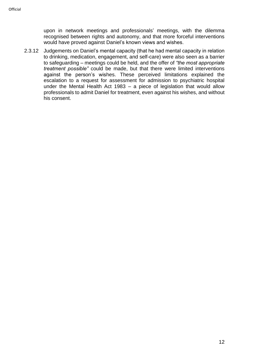upon in network meetings and professionals' meetings, with the dilemma recognised between rights and autonomy, and that more forceful interventions would have proved against Daniel's known views and wishes.

2.3.12 Judgements on Daniel's mental capacity (that he had mental capacity in relation to drinking, medication, engagement, and self-care) were also seen as a barrier to safeguarding – meetings could be held, and the offer of *"the most appropriate treatment possible"* could be made, but that there were limited interventions against the person's wishes. These perceived limitations explained the escalation to a request for assessment for admission to psychiatric hospital under the Mental Health Act 1983 – a piece of legislation that would allow professionals to admit Daniel for treatment, even against his wishes, and without his consent.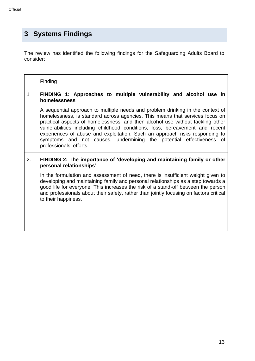# <span id="page-12-0"></span>**3 Systems Findings**

The review has identified the following findings for the Safeguarding Adults Board to consider:

|    | Finding                                                                                                                                                                                                                                                                                                                                                                                                                                                                                                           |  |  |
|----|-------------------------------------------------------------------------------------------------------------------------------------------------------------------------------------------------------------------------------------------------------------------------------------------------------------------------------------------------------------------------------------------------------------------------------------------------------------------------------------------------------------------|--|--|
| 1  | FINDING 1: Approaches to multiple vulnerability and alcohol use in<br>homelessness                                                                                                                                                                                                                                                                                                                                                                                                                                |  |  |
|    | A sequential approach to multiple needs and problem drinking in the context of<br>homelessness, is standard across agencies. This means that services focus on<br>practical aspects of homelessness, and then alcohol use without tackling other<br>vulnerabilities including childhood conditions, loss, bereavement and recent<br>experiences of abuse and exploitation. Such an approach risks responding to<br>symptoms and not causes, undermining the potential effectiveness of<br>professionals' efforts. |  |  |
| 2. | FINDING 2: The importance of 'developing and maintaining family or other<br>personal relationships'                                                                                                                                                                                                                                                                                                                                                                                                               |  |  |
|    | In the formulation and assessment of need, there is insufficient weight given to<br>developing and maintaining family and personal relationships as a step towards a<br>good life for everyone. This increases the risk of a stand-off between the person<br>and professionals about their safety, rather than jointly focusing on factors critical<br>to their happiness.                                                                                                                                        |  |  |
|    |                                                                                                                                                                                                                                                                                                                                                                                                                                                                                                                   |  |  |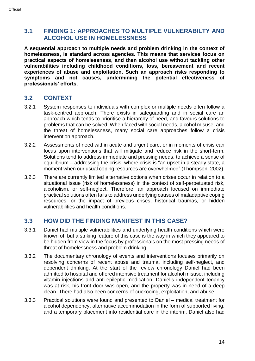#### <span id="page-13-0"></span>**3.1 FINDING 1: APPROACHES TO MULTIPLE VULNERABILTY AND ALCOHOL USE IN HOMELESSNESS**

**A sequential approach to multiple needs and problem drinking in the context of homelessness, is standard across agencies. This means that services focus on practical aspects of homelessness, and then alcohol use without tackling other vulnerabilities including childhood conditions, loss, bereavement and recent experiences of abuse and exploitation. Such an approach risks responding to symptoms and not causes, undermining the potential effectiveness of professionals' efforts.** 

# **3.2 CONTEXT**

- 3.2.1 System responses to individuals with complex or multiple needs often follow a task-centred approach. There exists in safeguarding and in social care an approach which tends to prioritise a hierarchy of need, and favours solutions to problems that can be solved. When faced with social needs, alcohol misuse, and the threat of homelessness, many social care approaches follow a crisis intervention approach.
- 3.2.2 Assessments of need within acute and urgent care, or in moments of crisis can focus upon interventions that will mitigate and reduce risk in the short-term. Solutions tend to address immediate and pressing needs, to achieve a sense of equilibrium – addressing the crisis, where crisis is "an upset in a steady state, a moment when our usual coping resources are overwhelmed" (Thompson, 2002).
- 3.2.3 There are currently limited alternative options when crises occur in relation to a situational issue (risk of homelessness) in the context of self-perpetuated risk, alcoholism, or self-neglect. Therefore, an approach focused on immediate practical solutions often fails to address underlying causes of maladaptive coping resources, or the impact of previous crises, historical traumas, or hidden vulnerabilities and health conditions.

#### **3.3 HOW DID THE FINDING MANIFEST IN THIS CASE?**

- 3.3.1 Daniel had multiple vulnerabilities and underlying health conditions which were known of, but a striking feature of this case is the way in which they appeared to be hidden from view in the focus by professionals on the most pressing needs of threat of homelessness and problem drinking.
- 3.3.2 The documentary chronology of events and interventions focuses primarily on resolving concerns of recent abuse and trauma, including self-neglect, and dependent drinking. At the start of the review chronology Daniel had been admitted to hospital and offered intensive treatment for alcohol misuse, including vitamin injections and anti-epileptic medication. Daniel's independent tenancy was at risk, his front door was open, and the property was in need of a deep clean. There had also been concerns of cuckooing, exploitation, and abuse.
- 3.3.3 Practical solutions were found and presented to Daniel medical treatment for alcohol dependency, alternative accommodation in the form of supported living, and a temporary placement into residential care in the interim. Daniel also had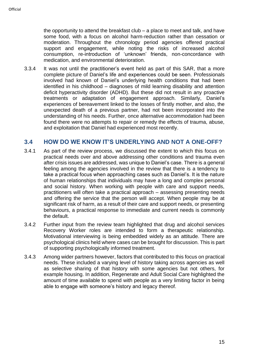the opportunity to attend the breakfast club – a place to meet and talk, and have some food, with a focus on alcohol harm-reduction rather than cessation or moderation. Throughout the chronology period agencies offered practical support and engagement, while noting the risks of increased alcohol consumption, re-introduction of 'unknown' friends, non-concordance with medication, and environmental deterioration.

3.3.4 It was not until the practitioner's event held as part of this SAR, that a more complete picture of Daniel's life and experiences could be seen. Professionals involved had known of Daniel's underlying health conditions that had been identified in his childhood – diagnoses of mild learning disability and attention deficit hyperactivity disorder (ADHD). But these did not result in any proactive treatments or adaptation of engagement approach. Similarly, Daniel's experiences of bereavement linked to the losses of firstly mother, and also, the unexpected death of a previous partner, had not been incorporated into the understanding of his needs. Further, once alternative accommodation had been found there were no attempts to repair or remedy the effects of trauma, abuse, and exploitation that Daniel had experienced most recently.

#### **3.4 HOW DO WE KNOW IT'S UNDERLYING AND NOT A ONE-OFF?**

- 3.4.1 As part of the review process, we discussed the extent to which this focus on practical needs over and above addressing other conditions and trauma even after crisis issues are addressed, was unique to Daniel's case. There is a general feeling among the agencies involved in the review that there is a tendency to take a practical focus when approaching cases such as Daniel's. It is the nature of human relationships that individuals may have a long and complex personal and social history. When working with people with care and support needs, practitioners will often take a practical approach – assessing presenting needs and offering the service that the person will accept. When people may be at significant risk of harm, as a result of their care and support needs, or presenting behaviours, a practical response to immediate and current needs is commonly the default.
- 3.4.2 Further input from the review team highlighted that drug and alcohol services Recovery Worker roles are intended to form a therapeutic relationship. Motivational interviewing is being embedded widely as an attitude. There are psychological clinics held where cases can be brought for discussion. This is part of supporting psychologically informed treatment.
- 3.4.3 Among wider partners however, factors that contributed to this focus on practical needs. These included a varying level of history taking across agencies as well as selective sharing of that history with some agencies but not others, for example housing. In addition, Regenerate and Adult Social Care highlighted the amount of time available to spend with people as a very limiting factor in being able to engage with someone's history and legacy thereof.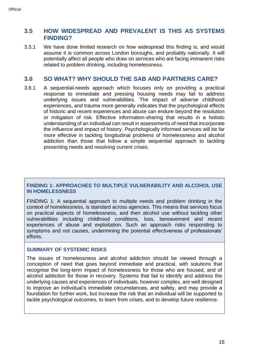#### **3.5 HOW WIDESPREAD AND PREVALENT IS THIS AS SYSTEMS FINDING?**

3.5.1 We have done limited research on how widespread this finding is, and would assume it is common across London boroughs, and probably nationally. It will potentially affect all people who draw on services who are facing immanent risks related to problem drinking, including homelessness.

#### **3.6 SO WHAT? WHY SHOULD THE SAB AND PARTNERS CARE?**

3.6.1 A sequential-needs approach which focuses only on providing a practical response to immediate and pressing housing needs may fail to address underlying issues and vulnerabilities. The impact of adverse childhood experiences, and trauma more generally indicates that the psychological effects of historic and recent experiences and abuse can endure beyond the resolution or mitigation of risk. Effective information-sharing that results in a holistic understanding of an individual can result in assessments of need that incorporate the influence and impact of history. Psychologically informed services will be far more effective in tackling longitudinal problems of homelessness and alcohol addiction than those that follow a simple sequential approach to tackling presenting needs and resolving current crises.

#### **FINDING 1: APPROACHES TO MULTIPLE VULNERABILITY AND ALCOHOL USE IN HOMELESSNESS**

FINDING 1: A sequential approach to multiple needs and problem drinking in the context of homelessness, is standard across agencies. This means that services focus on practical aspects of homelessness, and then alcohol use without tackling other vulnerabilities including childhood conditions, loss, bereavement and recent experiences of abuse and exploitation. Such an approach risks responding to symptoms and not causes, undermining the potential effectiveness of professionals' efforts.

#### **SUMMARY OF SYSTEMIC RISKS**

The issues of homelessness and alcohol addiction should be viewed through a conception of need that goes beyond immediate and practical, with solutions that recognise the long-term impact of homelessness for those who are housed, and of alcohol addiction for those in recovery. Systems that fail to identify and address the underlying causes and experiences of individuals, however complex, are well designed to improve an individual's immediate circumstances, and safety, and may provide a foundation for further work, but increase the risk that an individual will be supported to tackle psychological outcomes, to learn from crises, and to develop future resilience.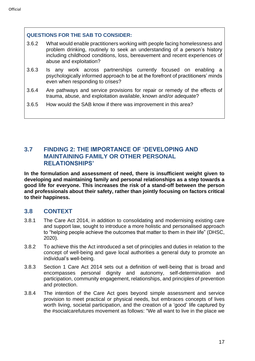#### **QUESTIONS FOR THE SAB TO CONSIDER:**

- 3.6.2 What would enable practitioners working with people facing homelessness and problem drinking, routinely to seek an understanding of a person's history including childhood conditions, loss, bereavement and recent experiences of abuse and exploitation?
- 3.6.3 Is any work across partnerships currently focused on enabling a psychologically informed approach to be at the forefront of practitioners' minds even when responding to crises?
- 3.6.4 Are pathways and service provisions for repair or remedy of the effects of trauma, abuse, and exploitation available, known and/or adequate?
- 3.6.5 How would the SAB know if there was improvement in this area?

#### <span id="page-16-0"></span>**3.7 FINDING 2: THE IMPORTANCE OF 'DEVELOPING AND MAINTAINING FAMILY OR OTHER PERSONAL RELATIONSHIPS'**

**In the formulation and assessment of need, there is insufficient weight given to developing and maintaining family and personal relationships as a step towards a good life for everyone. This increases the risk of a stand-off between the person and professionals about their safety, rather than jointly focusing on factors critical to their happiness.** 

#### **3.8 CONTEXT**

- 3.8.1 The Care Act 2014, in addition to consolidating and modernising existing care and support law, sought to introduce a more holistic and personalised approach to "helping people achieve the outcomes that matter to them in their life" (DHSC, 2020).
- 3.8.2 To achieve this the Act introduced a set of principles and duties in relation to the concept of well-being and gave local authorities a general duty to promote an individual's well-being.
- 3.8.3 Section 1 Care Act 2014 sets out a definition of well-being that is broad and encompasses personal dignity and autonomy, self-determination and participation, community engagement, relationships, and principles of prevention and protection.
- 3.8.4 The intention of the Care Act goes beyond simple assessment and service provision to meet practical or physical needs, but embraces concepts of lives worth living, societal participation, and the creation of a 'good' life captured by the #socialcarefutures movement as follows: "We all want to live in the place we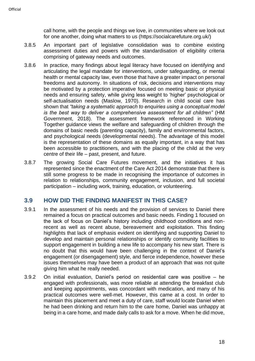call home, with the people and things we love, in communities where we look out for one another, doing what matters to us (https://socialcarefuture.org.uk/)

- 3.8.5 An important part of legislative consolidation was to combine existing assessment duties and powers with the standardisation of eligibility criteria comprising of gateway needs and outcomes.
- 3.8.6 In practice, many findings about legal literacy have focused on identifying and articulating the legal mandate for interventions, under safeguarding, or mental health or mental capacity law, even those that have a greater impact on personal freedoms and autonomy. In situations of risk, decisions and interventions may be motivated by a protection imperative focused on meeting basic or physical needs and ensuring safety, while giving less weight to 'higher' psychological or self-actualisation needs (Maslow, 1970). Research in child social care has shown that *"taking a systematic approach to enquiries using a conceptual model is the best way to deliver a comprehensive assessment for all children"* (HM Government, 2018). The assessment framework referenced in Working Together guidance views the welfare and safeguarding of children through the domains of basic needs (parenting capacity), family and environmental factors, and psychological needs (developmental needs). The advantage of this model is the representation of these domains as equally important, in a way that has been accessible to practitioners, and with the placing of the child at the very centre of their life – past, present, and future.
- 3.8.7 The growing Social Care Futures movement, and the initiatives it has represented since the enactment of the Care Act 2014 demonstrate that there is still some progress to be made in recognising the importance of outcomes in relation to relationships, community engagement, inclusion, and full societal participation – including work, training, education, or volunteering.

#### **3.9 HOW DID THE FINDING MANIFEST IN THIS CASE?**

- 3.9.1 In the assessment of his needs and the provision of services to Daniel there remained a focus on practical outcomes and basic needs. Finding 1 focused on the lack of focus on Daniel's history including childhood conditions and nonrecent as well as recent abuse, bereavement and exploitation. This finding highlights that lack of emphasis evident on identifying and supporting Daniel to develop and maintain personal relationships or identify community facilities to support engagement in building a new life to accompany his new start. There is no doubt that this would have been challenging in the context of Daniel's engagement (or disengagement) style, and fierce independence, however these issues themselves may have been a product of an approach that was not quite giving him what he really needed.
- 3.9.2 On initial evaluation, Daniel's period on residential care was positive he engaged with professionals, was more reliable at attending the breakfast club and keeping appointments, was concordant with medication, and many of his practical outcomes were well-met. However, this came at a cost. In order to maintain this placement and meet a duty of care, staff would locate Daniel when he had been drinking and return him to the care home, Daniel was unhappy at being in a care home, and made daily calls to ask for a move. When he did move,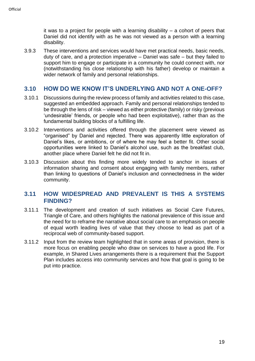it was to a project for people with a learning disability – a cohort of peers that Daniel did not identify with as he was not viewed as a person with a learning disability.

3.9.3 These interventions and services would have met practical needs, basic needs, duty of care, and a protection imperative – Daniel was safe – but they failed to support him to engage or participate in a community he could connect with, nor (notwithstanding his close relationship with his father) develop or maintain a wider network of family and personal relationships.

#### **3.10 HOW DO WE KNOW IT'S UNDERLYING AND NOT A ONE-OFF?**

- 3.10.1 Discussions during the review process of family and activities related to this case, suggested an embedded approach. Family and personal relationships tended to be through the lens of risk – viewed as either protective (family) or risky (previous 'undesirable' friends, or people who had been exploitative), rather than as the fundamental building blocks of a fulfilling life.
- 3.10.2 Interventions and activities offered through the placement were viewed as "organised" by Daniel and rejected. There was apparently little exploration of Daniel's likes, or ambitions, or of where he may feel a better fit. Other social opportunities were linked to Daniel's alcohol use, such as the breakfast club, another place where Daniel felt he did not fit in.
- 3.10.3 Discussion about this finding more widely tended to anchor in issues of information sharing and consent about engaging with family members, rather than linking to questions of Daniel's inclusion and connectedness in the wider community.

#### **3.11 HOW WIDESPREAD AND PREVALENT IS THIS A SYSTEMS FINDING?**

- 3.11.1 The development and creation of such initiatives as Social Care Futures, Triangle of Care, and others highlights the national prevalence of this issue and the need for to reframe the narrative about social care to an emphasis on people of equal worth leading lives of value that they choose to lead as part of a reciprocal web of community-based support.
- 3.11.2 Input from the review team highlighted that in some areas of provision, there is more focus on enabling people who draw on services to have a good life. For example, in Shared Lives arrangements there is a requirement that the Support Plan includes access into community services and how that goal is going to be put into practice.